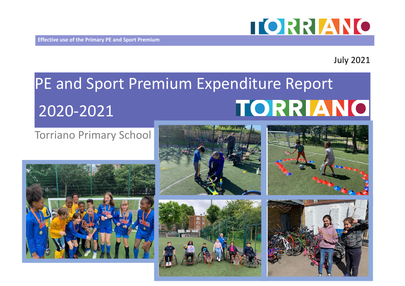

## July 2021

# PE and Sport Premium Expenditure Report TORRIANO 2020-2021

## Torriano Primary School









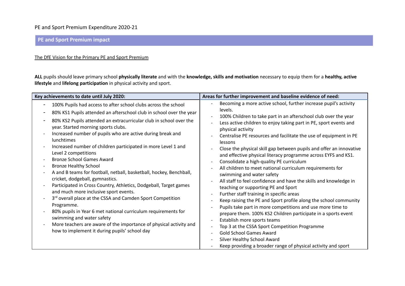#### **PE and Sport Premium impact**

#### The DfE Vision for the Primary PE and Sport Premium

**ALL** pupils should leave primary school **physically literate** and with the **knowledge, skills and motivation** necessary to equip them for a **healthy, active lifestyle** and **lifelong participation** in physical activity and sport.

| Key achievements to date until July 2020:                                                                                                                                                                                                                                                                                                                                                                                                                                                                                                                                                                                                                                                                                                                                                                                                                                                                                                                                                                                                                    | Areas for further improvement and baseline evidence of need:                                                                                                                                                                                                                                                                                                                                                                                                                                                                                                                                                                                                                                                                                                                                                                                                                                                                                                                                                                                                                                                                                                                         |
|--------------------------------------------------------------------------------------------------------------------------------------------------------------------------------------------------------------------------------------------------------------------------------------------------------------------------------------------------------------------------------------------------------------------------------------------------------------------------------------------------------------------------------------------------------------------------------------------------------------------------------------------------------------------------------------------------------------------------------------------------------------------------------------------------------------------------------------------------------------------------------------------------------------------------------------------------------------------------------------------------------------------------------------------------------------|--------------------------------------------------------------------------------------------------------------------------------------------------------------------------------------------------------------------------------------------------------------------------------------------------------------------------------------------------------------------------------------------------------------------------------------------------------------------------------------------------------------------------------------------------------------------------------------------------------------------------------------------------------------------------------------------------------------------------------------------------------------------------------------------------------------------------------------------------------------------------------------------------------------------------------------------------------------------------------------------------------------------------------------------------------------------------------------------------------------------------------------------------------------------------------------|
| 100% Pupils had access to after school clubs across the school<br>80% KS1 Pupils attended an afterschool club in school over the year<br>80% KS2 Pupils attended an extracurricular club in school over the<br>year. Started morning sports clubs.<br>Increased number of pupils who are active during break and<br>lunchtimes<br>Increased number of children participated in more Level 1 and<br>$\overline{\phantom{a}}$<br>Level 2 competitions<br><b>Bronze School Games Award</b><br><b>Bronze Healthy School</b><br>A and B teams for football, netball, basketball, hockey, Benchball,<br>cricket, dodgeball, gymnastics.<br>Participated in Cross Country, Athletics, Dodgeball, Target games<br>and much more inclusive sport events.<br>3 <sup>rd</sup> overall place at the CSSA and Camden Sport Competition<br>Programme.<br>80% pupils in Year 6 met national curriculum requirements for<br>swimming and water safety<br>More teachers are aware of the importance of physical activity and<br>how to implement it during pupils' school day | Becoming a more active school, further increase pupil's activity<br>levels.<br>100% Children to take part in an afterschool club over the year<br>Less active children to enjoy taking part in PE, sport events and<br>physical activity<br>Centralise PE resources and facilitate the use of equipment in PE<br>lessons<br>Close the physical skill gap between pupils and offer an innovative<br>and effective physical literacy programme across EYFS and KS1.<br>Consolidate a high-quality PE curriculum<br>All children to meet national curriculum requirements for<br>swimming and water safety<br>All staff to feel confidence and have the skills and knowledge in<br>teaching or supporting PE and Sport<br>Further staff training in specific areas<br>Keep raising the PE and Sport profile along the school community<br>Pupils take part in more competitions and use more time to<br>prepare them. 100% KS2 Children participate in a sports event<br>Establish more sports teams<br>Top 3 at the CSSA Sport Competition Programme<br><b>Gold School Games Award</b><br>Silver Healthy School Award<br>Keep providing a broader range of physical activity and sport |
|                                                                                                                                                                                                                                                                                                                                                                                                                                                                                                                                                                                                                                                                                                                                                                                                                                                                                                                                                                                                                                                              |                                                                                                                                                                                                                                                                                                                                                                                                                                                                                                                                                                                                                                                                                                                                                                                                                                                                                                                                                                                                                                                                                                                                                                                      |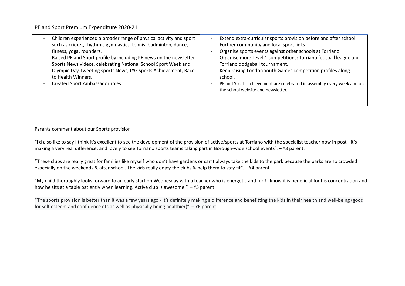| Children experienced a broader range of physical activity and sport<br>such as cricket, rhythmic gymnastics, tennis, badminton, dance,<br>fitness, yoga, rounders.<br>Raised PE and Sport profile by including PE news on the newsletter,<br>Sports News videos, celebrating National School Sport Week and<br>Olympic Day, tweeting sports News, LYG Sports Achievement, Race<br>to Health Winners.<br><b>Created Sport Ambassador roles</b> | Extend extra-curricular sports provision before and after school<br>Further community and local sport links<br>Organise sports events against other schools at Torriano<br>Organise more Level 1 competitions: Torriano football league and<br>Torriano dodgeball tournament.<br>Keep raising London Youth Games competition profiles along<br>school.<br>PE and Sports achievement are celebrated in assembly every week and on<br>the school website and newsletter. |
|-----------------------------------------------------------------------------------------------------------------------------------------------------------------------------------------------------------------------------------------------------------------------------------------------------------------------------------------------------------------------------------------------------------------------------------------------|------------------------------------------------------------------------------------------------------------------------------------------------------------------------------------------------------------------------------------------------------------------------------------------------------------------------------------------------------------------------------------------------------------------------------------------------------------------------|
|-----------------------------------------------------------------------------------------------------------------------------------------------------------------------------------------------------------------------------------------------------------------------------------------------------------------------------------------------------------------------------------------------------------------------------------------------|------------------------------------------------------------------------------------------------------------------------------------------------------------------------------------------------------------------------------------------------------------------------------------------------------------------------------------------------------------------------------------------------------------------------------------------------------------------------|

#### Parents comment about our Sports provision

"I'd also like to say I think it's excellent to see the development of the provision of active/sports at Torriano with the specialist teacher now in post - it's making a very real difference, and lovely to see Torriano sports teams taking part in Borough-wide school events". – Y3 parent.

"These clubs are really great for families like myself who don't have gardens or can't always take the kids to the park because the parks are so crowded especially on the weekends & after school. The kids really enjoy the clubs & help them to stay fit". – Y4 parent

"My child thoroughly looks forward to an early start on Wednesday with a teacher who is energetic and fun! I know it is beneficial for his concentration and how he sits at a table patiently when learning. Active club is awesome ". – Y5 parent

"The sports provision is better than it was a few years ago - it's definitely making a difference and benefitting the kids in their health and well-being (good for self-esteem and confidence etc as well as physically being healthier)". – Y6 parent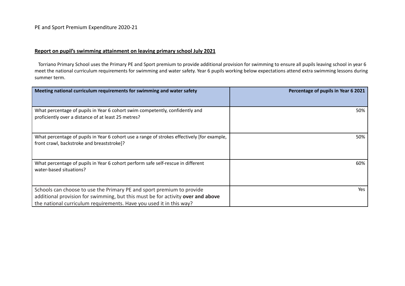#### **Report on pupil's swimming attainment on leaving primary school July 2021**

Torriano Primary School uses the Primary PE and Sport premium to provide additional provision for swimming to ensure all pupils leaving school in year 6 meet the national curriculum requirements for swimming and water safety. Year 6 pupils working below expectations attend extra swimming lessons during summer term.

| Meeting national curriculum requirements for swimming and water safety                                                                                   | Percentage of pupils in Year 6 2021 |
|----------------------------------------------------------------------------------------------------------------------------------------------------------|-------------------------------------|
|                                                                                                                                                          |                                     |
| What percentage of pupils in Year 6 cohort swim competently, confidently and<br>proficiently over a distance of at least 25 metres?                      | 50%                                 |
| What percentage of pupils in Year 6 cohort use a range of strokes effectively [for example,<br>front crawl, backstroke and breaststroke]?                | 50%                                 |
| What percentage of pupils in Year 6 cohort perform safe self-rescue in different<br>water-based situations?                                              | 60%                                 |
| Schools can choose to use the Primary PE and sport premium to provide<br>additional provision for swimming, but this must be for activity over and above | Yes                                 |
| the national curriculum requirements. Have you used it in this way?                                                                                      |                                     |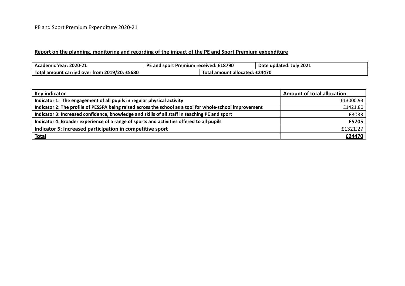#### **Report on the planning, monitoring and recording of the impact of the PE and Sport Premium expenditure**

| Academic Year: 2020-21                        | E and sport Premium received: £18790<br>ĐЕ |                                | Date updated: July 2021 |
|-----------------------------------------------|--------------------------------------------|--------------------------------|-------------------------|
| Total amount carried over from 2019/20: £5680 |                                            | Total amount allocated: £24470 |                         |

| Key indicator                                                                                            | <b>Amount of total allocation</b> |
|----------------------------------------------------------------------------------------------------------|-----------------------------------|
| Indicator 1: The engagement of all pupils in regular physical activity                                   | £13000.93                         |
| Indicator 2: The profile of PESSPA being raised across the school as a tool for whole-school improvement | £1421.80                          |
| Indicator 3: Increased confidence, knowledge and skills of all staff in teaching PE and sport            | £3033                             |
| Indicator 4: Broader experience of a range of sports and activities offered to all pupils                | £5705                             |
| Indicator 5: Increased participation in competitive sport                                                | £1321.27                          |
| <b>Total</b>                                                                                             | £24470                            |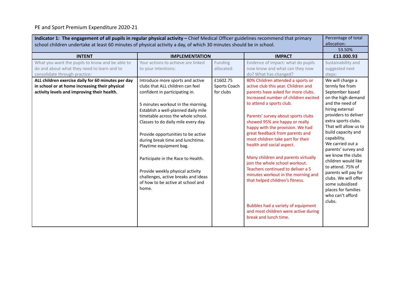| Indicator 1: The engagement of all pupils in regular physical activity - Chief Medical Officer guidelines recommend that primary<br>allocation:<br>school children undertake at least 60 minutes of physical activity a day, of which 30 minutes should be in school. |                                                                                                                                                                                                                                                                                                                                                                                                                                                                                                                                     |                                       |                                                                                                                                                                                                                                                                                                                                                                                                                                                                                                                                                                                                                                                                                                   |                                                                                                                                                                                                                                                                                                                                                                                                                                                                     |
|-----------------------------------------------------------------------------------------------------------------------------------------------------------------------------------------------------------------------------------------------------------------------|-------------------------------------------------------------------------------------------------------------------------------------------------------------------------------------------------------------------------------------------------------------------------------------------------------------------------------------------------------------------------------------------------------------------------------------------------------------------------------------------------------------------------------------|---------------------------------------|---------------------------------------------------------------------------------------------------------------------------------------------------------------------------------------------------------------------------------------------------------------------------------------------------------------------------------------------------------------------------------------------------------------------------------------------------------------------------------------------------------------------------------------------------------------------------------------------------------------------------------------------------------------------------------------------------|---------------------------------------------------------------------------------------------------------------------------------------------------------------------------------------------------------------------------------------------------------------------------------------------------------------------------------------------------------------------------------------------------------------------------------------------------------------------|
|                                                                                                                                                                                                                                                                       |                                                                                                                                                                                                                                                                                                                                                                                                                                                                                                                                     |                                       |                                                                                                                                                                                                                                                                                                                                                                                                                                                                                                                                                                                                                                                                                                   | 53.50%                                                                                                                                                                                                                                                                                                                                                                                                                                                              |
| <b>INTENT</b>                                                                                                                                                                                                                                                         | <b>IMPLEMENTATION</b>                                                                                                                                                                                                                                                                                                                                                                                                                                                                                                               |                                       | <b>IMPACT</b>                                                                                                                                                                                                                                                                                                                                                                                                                                                                                                                                                                                                                                                                                     | £13,000.93                                                                                                                                                                                                                                                                                                                                                                                                                                                          |
| What you want the pupils to know and be able to<br>do and about what they need to learn and to<br>consolidate through practice:                                                                                                                                       | Your actions to achieve are linked<br>to your intentions:                                                                                                                                                                                                                                                                                                                                                                                                                                                                           | Funding<br>allocated:                 | Evidence of impact: what do pupils<br>now know and what can they now<br>do? What has changed?                                                                                                                                                                                                                                                                                                                                                                                                                                                                                                                                                                                                     | Sustainability and<br>suggested next<br>steps:                                                                                                                                                                                                                                                                                                                                                                                                                      |
| ALL children exercise daily for 60 minutes per day<br>in school or at home increasing their physical<br>activity levels and improving their health.                                                                                                                   | Introduce more sports and active<br>clubs that ALL children can feel<br>confident in participating in.<br>5 minutes workout in the morning.<br>Establish a well-planned daily mile<br>timetable across the whole school.<br>Classes to do daily mile every day.<br>Provide opportunities to be active<br>during break time and lunchtime.<br>Playtime equipment bag.<br>Participate in the Race to Health.<br>Provide weekly physical activity<br>challenges, active breaks and ideas<br>of how to be active at school and<br>home. | £1602.75<br>Sports Coach<br>for clubs | 80% Children attended a sports or<br>active club this year. Children and<br>parents have asked for more clubs.<br>Increased number of children excited<br>to attend a sports club.<br>Parents' survey about sports clubs<br>showed 95% are happy or really<br>happy with the provision. We had<br>great feedback from parents and<br>most children take part for their<br>health and social aspect.<br>Many children and parents virtually<br>join the whole school workout.<br>Teachers continued to deliver a 5<br>minutes workout in the morning and<br>that helped children's fitness.<br>Bubbles had a variety of equipment<br>and most children were active during<br>break and lunch time. | We will charge a<br>termly fee from<br>September based<br>on the high demand<br>and the need of<br>hiring external<br>providers to deliver<br>extra sports clubs.<br>That will allow us to<br>build capacity and<br>capability.<br>We carried out a<br>parents' survey and<br>we know the clubs<br>children would like<br>to attend. 75% of<br>parents will pay for<br>clubs. We will offer<br>some subsidized<br>places for families<br>who can't afford<br>clubs. |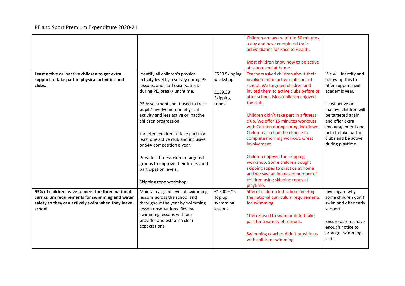|                                                                                                    |                                                                                                                               |                    | Children are aware of the 60 minutes<br>a day and have completed their<br>active diaries for Race to Health.<br>Most children know how to be active<br>at school and at home.               |                                             |
|----------------------------------------------------------------------------------------------------|-------------------------------------------------------------------------------------------------------------------------------|--------------------|---------------------------------------------------------------------------------------------------------------------------------------------------------------------------------------------|---------------------------------------------|
| Least active or inactive children to get extra                                                     | Identify all children's physical                                                                                              | £550 Skipping      | Teachers asked children about their                                                                                                                                                         | We will identify and                        |
| support to take part in physical activities and<br>clubs.                                          | activity level by a survey during PE<br>lessons, and staff observations                                                       | workshop           | involvement in active clubs out of<br>school. We targeted children and                                                                                                                      | follow up this to<br>offer support next     |
|                                                                                                    | during PE, break/lunchtime.                                                                                                   | £139.38            | invited them to active clubs before or                                                                                                                                                      | academic year.                              |
|                                                                                                    |                                                                                                                               | Skipping           | after school. Most children enjoyed                                                                                                                                                         |                                             |
|                                                                                                    | PE Assessment sheet used to track                                                                                             | ropes              | the club.                                                                                                                                                                                   | Least active or                             |
|                                                                                                    | pupils' involvement in physical                                                                                               |                    |                                                                                                                                                                                             | inactive children will                      |
|                                                                                                    | activity and less active or inactive                                                                                          |                    | Children didn't take part in a fitness                                                                                                                                                      | be targeted again                           |
|                                                                                                    | children progression.                                                                                                         |                    | club. We offer 15 minutes workouts<br>with Carmen during spring lockdown.                                                                                                                   | and offer extra<br>encouragement and        |
|                                                                                                    | Targeted children to take part in at                                                                                          |                    | Children also had the chance to                                                                                                                                                             | help to take part in                        |
|                                                                                                    | least one active club and inclusive                                                                                           |                    | complete morning workout. Great                                                                                                                                                             | clubs and be active                         |
|                                                                                                    | or S4A competition a year.                                                                                                    |                    | involvement.                                                                                                                                                                                | during playtime.                            |
|                                                                                                    | Provide a fitness club to targeted<br>groups to improve their fitness and<br>participation levels.<br>Skipping rope workshop. |                    | Children enjoyed the skipping<br>workshop. Some children bought<br>skipping ropes to practice at home<br>and we saw an increased number of<br>children using skipping ropes at<br>playtime. |                                             |
| 95% of children leave to meet the three national                                                   | Maintain a good level of swimming                                                                                             | $£1500 - Y6$       | 50% of children left school meeting                                                                                                                                                         | Investigate why                             |
| curriculum requirements for swimming and water<br>safety so they can actively swim when they leave | lessons across the school and<br>throughout the year by swimming                                                              | Top up<br>swimming | the national curriculum requirements<br>for swimming.                                                                                                                                       | some children don't<br>swim and offer early |
| school.                                                                                            | lesson observations. Review                                                                                                   | lessons            |                                                                                                                                                                                             | support.                                    |
|                                                                                                    | swimming lessons with our                                                                                                     |                    | 10% refused to swim or didn't take                                                                                                                                                          |                                             |
|                                                                                                    | provider and establish clear                                                                                                  |                    | part for a variety of reasons.                                                                                                                                                              | Ensure parents have                         |
|                                                                                                    | expectations.                                                                                                                 |                    |                                                                                                                                                                                             | enough notice to                            |
|                                                                                                    |                                                                                                                               |                    | Swimming coaches didn't provide us                                                                                                                                                          | arrange swimming<br>suits.                  |
|                                                                                                    |                                                                                                                               |                    | with children swimming                                                                                                                                                                      |                                             |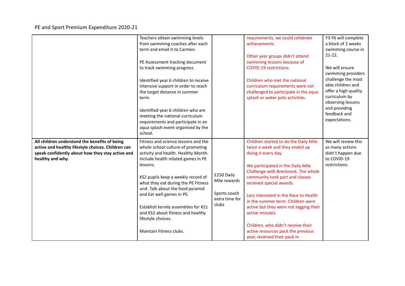|                                                                                                                                                                             | Teachers obtain swimming levels<br>from swimming coaches after each<br>term and email it to Carmen.<br>PE Assessment tracking document<br>to track swimming progress.<br>Identified year 6 children to receive<br>intensive support in order to reach<br>the target distance in summer<br>term.<br>Identified year 6 children who are<br>meeting the national curriculum<br>requirements and participate in an<br>aqua splash event organised by the<br>school. |                                                                       | requirements, we could celebrate<br>achievements.<br>Other year groups didn't attend<br>swimming lessons because of<br>COVID-19 restrictions.<br>Children who met the national<br>curriculum requirements were not<br>challenged to participate in the aqua<br>splash or water polo activities.                                                                                                                                                                                                  | Y3-Y6 will complete<br>a block of 2 weeks<br>swimming course in<br>$21-22.$<br>We will ensure<br>swimming providers<br>challenge the most<br>able children and<br>offer a high quality<br>curriculum by<br>observing lessons<br>and providing<br>feedback and<br>expectations. |
|-----------------------------------------------------------------------------------------------------------------------------------------------------------------------------|-----------------------------------------------------------------------------------------------------------------------------------------------------------------------------------------------------------------------------------------------------------------------------------------------------------------------------------------------------------------------------------------------------------------------------------------------------------------|-----------------------------------------------------------------------|--------------------------------------------------------------------------------------------------------------------------------------------------------------------------------------------------------------------------------------------------------------------------------------------------------------------------------------------------------------------------------------------------------------------------------------------------------------------------------------------------|--------------------------------------------------------------------------------------------------------------------------------------------------------------------------------------------------------------------------------------------------------------------------------|
| All children understand the benefits of being<br>active and healthy lifestyle choices. Children can<br>speak confidently about how they stay active and<br>healthy and why. | Fitness and science lessons and the<br>whole school culture of promoting<br>activity and health. Healthy Month.<br>Include health related games in PE<br>lessons.<br>KS2 pupils keep a weekly record of<br>what they eat during the PE Fitness<br>unit. Talk about the food pyramid<br>and Eat well games in PE.<br>Establish termly assemblies for KS1<br>and KS2 about fitness and healthy<br>lifestyle choices.<br>Maintain Fitness clubs.                   | £250 Daily<br>Mile rewards<br>Sports coach<br>extra time for<br>clubs | Children started to do the Daily Mile<br>twice a week and they ended up<br>doing it every day.<br>We participated in the Daily Mile<br>Challenge with Brecknock. The whole<br>community took part and classes<br>received special awards.<br>Less interested in the Race to Health<br>in the summer term. Children were<br>active but they were not logging their<br>active minutes.<br>Children, who didn't receive their<br>active resources pack the previous<br>year, received their pack in | We will review this<br>as many actions<br>didn't happen due<br>to COVID-19<br>restrictions.                                                                                                                                                                                    |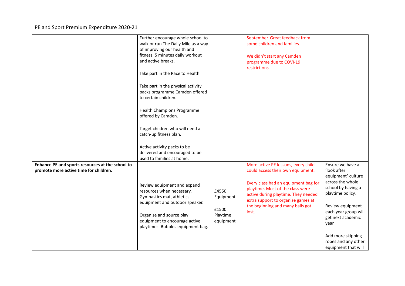|                                                                                            | Further encourage whole school to<br>walk or run The Daily Mile as a way<br>of improving our health and<br>fitness, 5 minutes daily workout<br>and active breaks.<br>Take part in the Race to Health.<br>Take part in the physical activity<br>packs programme Camden offered<br>to certain children.<br><b>Health Champions Programme</b><br>offered by Camden.<br>Target children who will need a<br>catch-up fitness plan. |                                                      | September. Great feedback from<br>some children and families.<br>We didn't start any Camden<br>programme due to COVI-19<br>restrictions.                                                                                                                                       |                                                                                                                                                                                                                                                                  |
|--------------------------------------------------------------------------------------------|-------------------------------------------------------------------------------------------------------------------------------------------------------------------------------------------------------------------------------------------------------------------------------------------------------------------------------------------------------------------------------------------------------------------------------|------------------------------------------------------|--------------------------------------------------------------------------------------------------------------------------------------------------------------------------------------------------------------------------------------------------------------------------------|------------------------------------------------------------------------------------------------------------------------------------------------------------------------------------------------------------------------------------------------------------------|
|                                                                                            | Active activity packs to be<br>delivered and encouraged to be<br>used to families at home.                                                                                                                                                                                                                                                                                                                                    |                                                      |                                                                                                                                                                                                                                                                                |                                                                                                                                                                                                                                                                  |
| Enhance PE and sports resources at the school to<br>promote more active time for children. | Review equipment and expand<br>resources when necessary.<br>Gymnastics mat, athletics<br>equipment and outdoor speaker.<br>Organise and source play<br>equipment to encourage active<br>playtimes. Bubbles equipment bag.                                                                                                                                                                                                     | £4550<br>Equipment<br>£1500<br>Playtime<br>equipment | More active PE lessons, every child<br>could access their own equipment.<br>Every class had an equipment bag for<br>playtime. Most of the class were<br>active during playtime. They needed<br>extra support to organise games at<br>the beginning and many balls got<br>lost. | Ensure we have a<br>'look after<br>equipment' culture<br>across the whole<br>school by having a<br>playtime policy.<br>Review equipment<br>each year group will<br>get next academic<br>year.<br>Add more skipping<br>ropes and any other<br>equipment that will |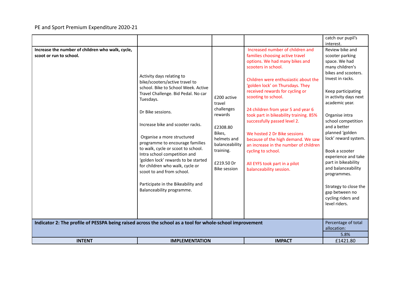|                                                                                                          |                                                                                                                                                                                                                                                                                                                                                                                                                                                                                                                                  |                                                                                                                                                         |                                                                                                                                                                                                                                                                                                                                                                                                                                                                                                                                                                                     | catch our pupil's<br>interest.                                                                                                                                                                                                                                                                                                                                                                                                                                                                      |
|----------------------------------------------------------------------------------------------------------|----------------------------------------------------------------------------------------------------------------------------------------------------------------------------------------------------------------------------------------------------------------------------------------------------------------------------------------------------------------------------------------------------------------------------------------------------------------------------------------------------------------------------------|---------------------------------------------------------------------------------------------------------------------------------------------------------|-------------------------------------------------------------------------------------------------------------------------------------------------------------------------------------------------------------------------------------------------------------------------------------------------------------------------------------------------------------------------------------------------------------------------------------------------------------------------------------------------------------------------------------------------------------------------------------|-----------------------------------------------------------------------------------------------------------------------------------------------------------------------------------------------------------------------------------------------------------------------------------------------------------------------------------------------------------------------------------------------------------------------------------------------------------------------------------------------------|
| Increase the number of children who walk, cycle,<br>scoot or run to school.                              | Activity days relating to<br>bike/scooters/active travel to<br>school. Bike to School Week. Active<br>Travel Challenge. Bid Pedal. No car<br>Tuesdays.<br>Dr Bike sessions.<br>Increase bike and scooter racks.<br>Organise a more structured<br>programme to encourage families<br>to walk, cycle or scoot to school.<br>Intra school competition and<br>'golden lock' rewards to be started<br>for children who walk, cycle or<br>scoot to and from school.<br>Participate in the Bikeability and<br>Balanceability programme. | £200 active<br>travel<br>challenges<br>rewards<br>£2308.80<br>Bikes,<br>helmets and<br>balanceability<br>training.<br>£219.50 Dr<br><b>Bike session</b> | Increased number of children and<br>families choosing active travel<br>options. We had many bikes and<br>scooters in school.<br>Children were enthusiastic about the<br>'golden lock' on Thursdays. They<br>received rewards for cycling or<br>scooting to school.<br>24 children from year 5 and year 6<br>took part in bikeability training. 85%<br>successfully passed level 2.<br>We hosted 2 Dr Bike sessions<br>because of the high demand. We saw<br>an increase in the number of children<br>cycling to school.<br>All EYFS took part in a pilot<br>balanceability session. | Review bike and<br>scooter parking<br>space. We had<br>many children's<br>bikes and scooters.<br>Invest in racks.<br>Keep participating<br>in activity days next<br>academic year.<br>Organise intra<br>school competition<br>and a better<br>planned 'golden<br>lock' reward system.<br>Book a scooter<br>experience and take<br>part in bikeability<br>and balanceability<br>programmes.<br>Strategy to close the<br>gap between no<br>cycling riders and<br>level riders.<br>Percentage of total |
| Indicator 2: The profile of PESSPA being raised across the school as a tool for whole-school improvement |                                                                                                                                                                                                                                                                                                                                                                                                                                                                                                                                  |                                                                                                                                                         |                                                                                                                                                                                                                                                                                                                                                                                                                                                                                                                                                                                     |                                                                                                                                                                                                                                                                                                                                                                                                                                                                                                     |
| <b>INTENT</b>                                                                                            | <b>IMPLEMENTATION</b>                                                                                                                                                                                                                                                                                                                                                                                                                                                                                                            |                                                                                                                                                         | <b>IMPACT</b>                                                                                                                                                                                                                                                                                                                                                                                                                                                                                                                                                                       | 5.8%<br>£1421.80                                                                                                                                                                                                                                                                                                                                                                                                                                                                                    |
|                                                                                                          |                                                                                                                                                                                                                                                                                                                                                                                                                                                                                                                                  |                                                                                                                                                         |                                                                                                                                                                                                                                                                                                                                                                                                                                                                                                                                                                                     |                                                                                                                                                                                                                                                                                                                                                                                                                                                                                                     |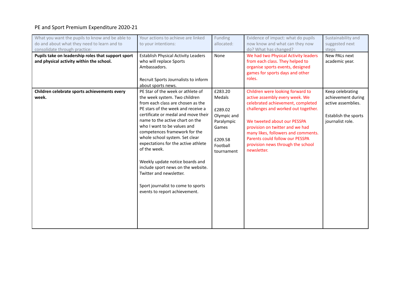| What you want the pupils to know and be able to<br>do and about what they need to learn and to<br>consolidate through practice: | Your actions to achieve are linked<br>to your intentions:                                                                                                                                                                                                                                                                                                                                                                                                                                                                                                   | Funding<br>allocated:                                                                                   | Evidence of impact: what do pupils<br>now know and what can they now<br>do? What has changed?                                                                                                                                                                                                                                                  | Sustainability and<br>suggested next<br>steps                                                            |
|---------------------------------------------------------------------------------------------------------------------------------|-------------------------------------------------------------------------------------------------------------------------------------------------------------------------------------------------------------------------------------------------------------------------------------------------------------------------------------------------------------------------------------------------------------------------------------------------------------------------------------------------------------------------------------------------------------|---------------------------------------------------------------------------------------------------------|------------------------------------------------------------------------------------------------------------------------------------------------------------------------------------------------------------------------------------------------------------------------------------------------------------------------------------------------|----------------------------------------------------------------------------------------------------------|
| Pupils take on leadership roles that support sport<br>and physical activity within the school.                                  | <b>Establish Physical Activity Leaders</b><br>who will replace Sports<br>Ambassadors.<br>Recruit Sports Journalists to inform<br>about sports news.                                                                                                                                                                                                                                                                                                                                                                                                         | None                                                                                                    | We had two Physical Activity leaders<br>from each class. They helped to<br>organise sports events, designed<br>games for sports days and other<br>roles.                                                                                                                                                                                       | New PALs next<br>academic year.                                                                          |
| Children celebrate sports achievements every<br>week.                                                                           | PE Star of the week or athlete of<br>the week system. Two children<br>from each class are chosen as the<br>PE stars of the week and receive a<br>certificate or medal and move their<br>name to the active chart on the<br>who I want to be values and<br>competences framework for the<br>whole school system. Set clear<br>expectations for the active athlete<br>of the week.<br>Weekly update notice boards and<br>include sport news on the website.<br>Twitter and newsletter.<br>Sport journalist to come to sports<br>events to report achievement. | £283.20<br>Medals<br>£289.02<br>Olympic and<br>Paralympic<br>Games<br>£209.58<br>Football<br>tournament | Children were looking forward to<br>active assembly every week. We<br>celebrated achievement, completed<br>challenges and worked out together.<br>We tweeted about our PESSPA<br>provision on twitter and we had<br>many likes, followers and comments.<br>Parents could follow our PESSPA<br>provision news through the school<br>newsletter. | Keep celebrating<br>achievement during<br>active assemblies.<br>Establish the sports<br>journalist role. |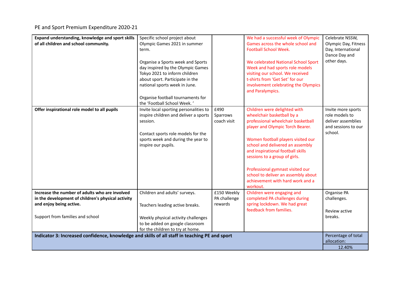| Expand understanding, knowledge and sport skills<br>of all children and school community.                                                                           | Specific school project about<br>Olympic Games 2021 in summer<br>term.<br>Organise a Sports week and Sports<br>day inspired by the Olympic Games<br>Tokyo 2021 to inform children<br>about sport. Participate in the<br>national sports week in June.<br>Organise football tournaments for<br>the 'Football School Week.' |                                        | We had a successful week of Olympic<br>Games across the whole school and<br><b>Football School Week.</b><br>We celebrated National School Sport<br>Week and had sports role models<br>visiting our school. We received<br>t-shirts from 'Get Set' for our<br>involvement celebrating the Olympics<br>and Paralympics.                                                                                           | Celebrate NSSW,<br>Olympic Day, Fitness<br>Day, International<br>Dance Day and<br>other days. |
|---------------------------------------------------------------------------------------------------------------------------------------------------------------------|---------------------------------------------------------------------------------------------------------------------------------------------------------------------------------------------------------------------------------------------------------------------------------------------------------------------------|----------------------------------------|-----------------------------------------------------------------------------------------------------------------------------------------------------------------------------------------------------------------------------------------------------------------------------------------------------------------------------------------------------------------------------------------------------------------|-----------------------------------------------------------------------------------------------|
| Offer inspirational role model to all pupils                                                                                                                        | Invite local sporting personalities to<br>inspire children and deliver a sports<br>session.<br>Contact sports role models for the<br>sports week and during the year to<br>inspire our pupils.                                                                                                                            | £490<br>Sparrows<br>coach visit        | Children were delighted with<br>wheelchair basketball by a<br>professional wheelchair basketball<br>player and Olympic Torch Bearer.<br>Women football players visited our<br>school and delivered an assembly<br>and inspirational football skills<br>sessions to a group of girls.<br>Professional gymnast visited our<br>school to deliver an assembly about<br>achievement with hard work and a<br>workout. | Invite more sports<br>role models to<br>deliver assemblies<br>and sessions to our<br>school.  |
| Increase the number of adults who are involved<br>in the development of children's physical activity<br>and enjoy being active.<br>Support from families and school | Children and adults' surveys.<br>Teachers leading active breaks.<br>Weekly physical activity challenges<br>to be added on google classroom<br>for the children to try at home.                                                                                                                                            | £150 Weekly<br>PA challenge<br>rewards | Children were engaging and<br>completed PA challenges during<br>spring lockdown. We had great<br>feedback from families.                                                                                                                                                                                                                                                                                        | Organise PA<br>challenges.<br>Review active<br>breaks.                                        |
| Indicator 3: Increased confidence, knowledge and skills of all staff in teaching PE and sport                                                                       |                                                                                                                                                                                                                                                                                                                           |                                        |                                                                                                                                                                                                                                                                                                                                                                                                                 | Percentage of total<br>allocation:<br>12.40%                                                  |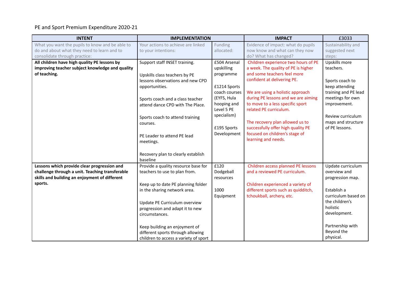| <b>INTENT</b>                                   | <b>IMPLEMENTATION</b>                 |               | <b>IMPACT</b>                       | £3033                |
|-------------------------------------------------|---------------------------------------|---------------|-------------------------------------|----------------------|
| What you want the pupils to know and be able to | Your actions to achieve are linked    | Funding       | Evidence of impact: what do pupils  | Sustainability and   |
| do and about what they need to learn and to     | to your intentions:                   | allocated:    | now know and what can they now      | suggested next       |
| consolidate through practice:                   |                                       |               | do? What has changed?               | steps:               |
| All children have high quality PE lessons by    | Support staff INSET training.         | £504 Arsenal  | Children experience two hours of PE | Upskills more        |
| improving teacher subject knowledge and quality |                                       | upskilling    | a week. The quality of PE is higher | teachers.            |
| of teaching.                                    | Upskills class teachers by PE         | programme     | and some teachers feel more         |                      |
|                                                 | lessons observations and new CPD      |               | confident at delivering PE.         | Sports coach to      |
|                                                 | opportunities.                        | £1214 Sports  |                                     | keep attending       |
|                                                 |                                       | coach courses | We are using a holistic approach    | training and PE lead |
|                                                 | Sports coach and a class teacher      | (EYFS, Hula   | during PE lessons and we are aiming | meetings for own     |
|                                                 | attend dance CPD with The Place.      | hooping and   | to move to a less specific sport    | improvement.         |
|                                                 |                                       | Level 5 PE    | related PE curriculum.              |                      |
|                                                 | Sports coach to attend training       | specialism)   |                                     | Review curriculum    |
|                                                 | courses.                              |               | The recovery plan allowed us to     | maps and structure   |
|                                                 |                                       | £195 Sports   | successfully offer high quality PE  | of PE lessons.       |
|                                                 | PE Leader to attend PE lead           | Development   | focused on children's stage of      |                      |
|                                                 | meetings.                             |               | learning and needs.                 |                      |
|                                                 |                                       |               |                                     |                      |
|                                                 | Recovery plan to clearly establish    |               |                                     |                      |
|                                                 | baseline                              |               |                                     |                      |
| Lessons which provide clear progression and     | Provide a quality resource base for   | £120          | Children access planned PE lessons  | Update curriculum    |
| challenge through a unit. Teaching transferable | teachers to use to plan from.         | Dodgeball     | and a reviewed PE curriculum.       | overview and         |
| skills and building an enjoyment of different   |                                       | resources     |                                     | progression map.     |
| sports.                                         | Keep up to date PE planning folder    |               | Children experienced a variety of   |                      |
|                                                 | in the sharing network area.          | 1000          | different sports such as quidditch, | Establish a          |
|                                                 |                                       |               | tchoukball, archery, etc.           | curriculum based on  |
|                                                 |                                       | Equipment     |                                     | the children's       |
|                                                 | Update PE Curriculum overview         |               |                                     | holistic             |
|                                                 | progression and adapt it to new       |               |                                     | development.         |
|                                                 | circumstances.                        |               |                                     |                      |
|                                                 |                                       |               |                                     |                      |
|                                                 | Keep building an enjoyment of         |               |                                     | Partnership with     |
|                                                 | different sports through allowing     |               |                                     | Beyond the           |
|                                                 | children to access a variety of sport |               |                                     | physical.            |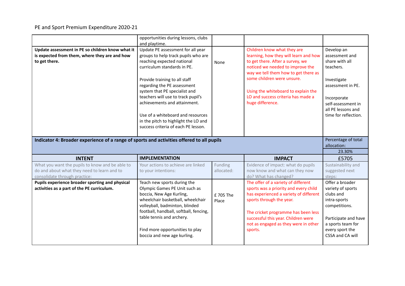|                                                                                                                                                  | opportunities during lessons, clubs<br>and playtime.                                                                                                                                                                                                                                                                                                                                                                             |                       |                                                                                                                                                                                                                                                                                                                     |                                                                                                                                                                                    |
|--------------------------------------------------------------------------------------------------------------------------------------------------|----------------------------------------------------------------------------------------------------------------------------------------------------------------------------------------------------------------------------------------------------------------------------------------------------------------------------------------------------------------------------------------------------------------------------------|-----------------------|---------------------------------------------------------------------------------------------------------------------------------------------------------------------------------------------------------------------------------------------------------------------------------------------------------------------|------------------------------------------------------------------------------------------------------------------------------------------------------------------------------------|
| Update assessment in PE so children know what it<br>is expected from them, where they are and how<br>to get there.                               | Update PE assessment for all year<br>groups to help track pupils who are<br>reaching expected national<br>curriculum standards in PE.<br>Provide training to all staff<br>regarding the PE assessment<br>system that PE specialist and<br>teachers will use to track pupil's<br>achievements and attainment.<br>Use of a whiteboard and resources<br>in the pitch to highlight the LO and<br>success criteria of each PE lesson. | None                  | Children know what they are<br>learning, how they will learn and how<br>to get there. After a survey, we<br>noticed we needed to improve the<br>way we tell them how to get there as<br>some children were unsure.<br>Using the whiteboard to explain the<br>LO and success criteria has made a<br>huge difference. | Develop an<br>assessment and<br>share with all<br>teachers.<br>Investigate<br>assessment in PE.<br>Incorporate<br>self-assessment in<br>all PE lessons and<br>time for reflection. |
|                                                                                                                                                  |                                                                                                                                                                                                                                                                                                                                                                                                                                  |                       |                                                                                                                                                                                                                                                                                                                     |                                                                                                                                                                                    |
| Indicator 4: Broader experience of a range of sports and activities offered to all pupils                                                        |                                                                                                                                                                                                                                                                                                                                                                                                                                  |                       |                                                                                                                                                                                                                                                                                                                     | Percentage of total<br>allocation:                                                                                                                                                 |
|                                                                                                                                                  | <b>IMPLEMENTATION</b>                                                                                                                                                                                                                                                                                                                                                                                                            |                       |                                                                                                                                                                                                                                                                                                                     | 23.30%                                                                                                                                                                             |
| <b>INTENT</b><br>What you want the pupils to know and be able to<br>do and about what they need to learn and to<br>consolidate through practice: | Your actions to achieve are linked<br>to your intentions:                                                                                                                                                                                                                                                                                                                                                                        | Funding<br>allocated: | <b>IMPACT</b><br>Evidence of impact: what do pupils<br>now know and what can they now<br>do? What has changed?                                                                                                                                                                                                      | £5705<br>Sustainability and<br>suggested next<br>steps:                                                                                                                            |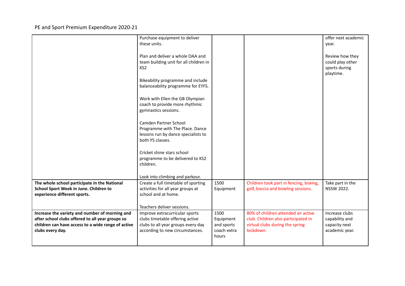| Review how they<br>could play other |
|-------------------------------------|
|                                     |
|                                     |
|                                     |
|                                     |
|                                     |
|                                     |
|                                     |
|                                     |
|                                     |
|                                     |
|                                     |
|                                     |
|                                     |
| Take part in the                    |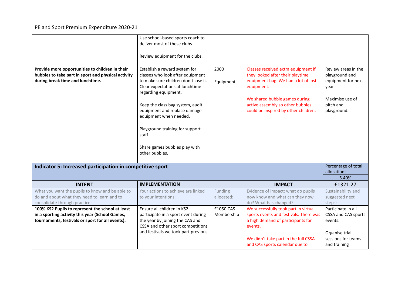| Provide more opportunities to children in their<br>bubbles to take part in sport and physical activity<br>during break time and lunchtime.              | Use school-based sports coach to<br>deliver most of these clubs.<br>Review equipment for the clubs.<br>Establish a reward system for<br>classes who look after equipment<br>to make sure children don't lose it.<br>Clear expectations at lunchtime<br>regarding equipment.<br>Keep the class bag system, audit<br>equipment and replace damage<br>equipment when needed.<br>Playground training for support<br>staff | 2000<br>Equipment       | Classes received extra equipment if<br>they looked after their playtime<br>equipment bag. We had a lot of lost<br>equipment.<br>We shared bubble games during<br>active assembly so other bubbles<br>could be inspired by other children. | Review areas in the<br>playground and<br>equipment for next<br>year.<br>Maximise use of<br>pitch and<br>playground. |
|---------------------------------------------------------------------------------------------------------------------------------------------------------|-----------------------------------------------------------------------------------------------------------------------------------------------------------------------------------------------------------------------------------------------------------------------------------------------------------------------------------------------------------------------------------------------------------------------|-------------------------|-------------------------------------------------------------------------------------------------------------------------------------------------------------------------------------------------------------------------------------------|---------------------------------------------------------------------------------------------------------------------|
|                                                                                                                                                         | Share games bubbles play with<br>other bubbles.                                                                                                                                                                                                                                                                                                                                                                       |                         |                                                                                                                                                                                                                                           |                                                                                                                     |
| Percentage of total<br>Indicator 5: Increased participation in competitive sport<br>allocation:                                                         |                                                                                                                                                                                                                                                                                                                                                                                                                       |                         |                                                                                                                                                                                                                                           |                                                                                                                     |
| <b>INTENT</b>                                                                                                                                           | <b>IMPLEMENTATION</b>                                                                                                                                                                                                                                                                                                                                                                                                 |                         | <b>IMPACT</b>                                                                                                                                                                                                                             | 5.40%<br>£1321.27                                                                                                   |
| What you want the pupils to know and be able to<br>do and about what they need to learn and to<br>consolidate through practice:                         | Your actions to achieve are linked<br>to your intentions:                                                                                                                                                                                                                                                                                                                                                             | Funding<br>allocated:   | Evidence of impact: what do pupils<br>now know and what can they now<br>do? What has changed?                                                                                                                                             | Sustainability and<br>suggested next<br>steps:                                                                      |
| 100% KS2 Pupils to represent the school at least<br>in a sporting activity this year (School Games,<br>tournaments, festivals or sport for all events). | Ensure all children in KS2<br>participate in a sport event during<br>the year by joining the CAS and<br>CSSA and other sport competitions<br>and festivals we took part previous                                                                                                                                                                                                                                      | £1050 CAS<br>Membership | We successfully took part in virtual<br>sports events and festivals. There was<br>a high demand of participants for<br>events.<br>We didn't take part in the full CSSA<br>and CAS sports calendar due to                                  | Participate in all<br>CSSA and CAS sports<br>events.<br>Organise trial<br>sessions for teams<br>and training        |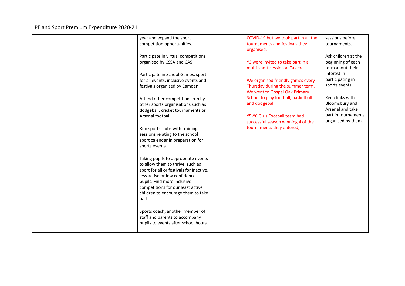| year and expand the sport                | COVID-19 but we took part in all the | sessions before     |
|------------------------------------------|--------------------------------------|---------------------|
| competition opportunities.               | tournaments and festivals they       | tournaments.        |
|                                          | organised.                           |                     |
| Participate in virtual competitions      |                                      | Ask children at the |
| organised by CSSA and CAS.               | Y3 were invited to take part in a    | beginning of each   |
|                                          | multi-sport session at Talacre.      | term about their    |
| Participate in School Games, sport       |                                      | interest in         |
| for all events, inclusive events and     | We organised friendly games every    | participating in    |
| festivals organised by Camden.           | Thursday during the summer term.     | sports events.      |
|                                          | We went to Gospel Oak Primary        |                     |
| Attend other competitions run by         | School to play football, basketball  | Keep links with     |
| other sports organisations such as       | and dodgeball.                       | Bloomsbury and      |
| dodgeball, cricket tournaments or        |                                      | Arsenal and take    |
| Arsenal football.                        | Y5-Y6 Girls Football team had        | part in tournaments |
|                                          | successful season winning 4 of the   | organised by them.  |
| Run sports clubs with training           | tournaments they entered,            |                     |
| sessions relating to the school          |                                      |                     |
| sport calendar in preparation for        |                                      |                     |
| sports events.                           |                                      |                     |
|                                          |                                      |                     |
| Taking pupils to appropriate events      |                                      |                     |
| to allow them to thrive, such as         |                                      |                     |
| sport for all or festivals for inactive, |                                      |                     |
| less active or low confidence            |                                      |                     |
| pupils. Find more inclusive              |                                      |                     |
| competitions for our least active        |                                      |                     |
| children to encourage them to take       |                                      |                     |
| part.                                    |                                      |                     |
|                                          |                                      |                     |
| Sports coach, another member of          |                                      |                     |
| staff and parents to accompany           |                                      |                     |
| pupils to events after school hours.     |                                      |                     |
|                                          |                                      |                     |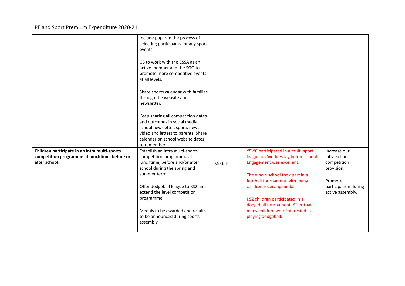|                                                                                                                 | Include pupils in the process of<br>selecting participants for any sport<br>events.<br>CB to work with the CSSA as an<br>active member and the SGO to<br>promote more competitive events<br>at all levels.<br>Share sports calendar with families<br>through the website and<br>newsletter.<br>Keep sharing all competition dates<br>and outcomes in social media,<br>school newsletter, sports news<br>video and letters to parents. Share<br>calendar on school website dates<br>to remember. |        |                                                                                                                                                                                                                                                                                                                                          |                                                                                                                  |
|-----------------------------------------------------------------------------------------------------------------|-------------------------------------------------------------------------------------------------------------------------------------------------------------------------------------------------------------------------------------------------------------------------------------------------------------------------------------------------------------------------------------------------------------------------------------------------------------------------------------------------|--------|------------------------------------------------------------------------------------------------------------------------------------------------------------------------------------------------------------------------------------------------------------------------------------------------------------------------------------------|------------------------------------------------------------------------------------------------------------------|
| Children participate in an intra multi-sports<br>competition programme at lunchtime, before or<br>after school. | Establish an intra multi-sports<br>competition programme at<br>lunchtime, before and/or after<br>school during the spring and<br>summer term.<br>Offer dodgeball league to KS2 and<br>extend the level competition<br>programme.<br>Medals to be awarded and results<br>to be announced during sports<br>assembly.                                                                                                                                                                              | Medals | Y5-Y6 participated in a multi-sport<br>league on Wednesday before school.<br>Engagement was excellent.<br>The whole school took part in a<br>football tournament with many<br>children receiving medals.<br>KS2 children participated in a<br>dodgeball tournament. After that<br>many children were interested in<br>playing dodgeball. | Increase our<br>intra-school<br>competition<br>provision.<br>Promote<br>participation during<br>active assembly. |